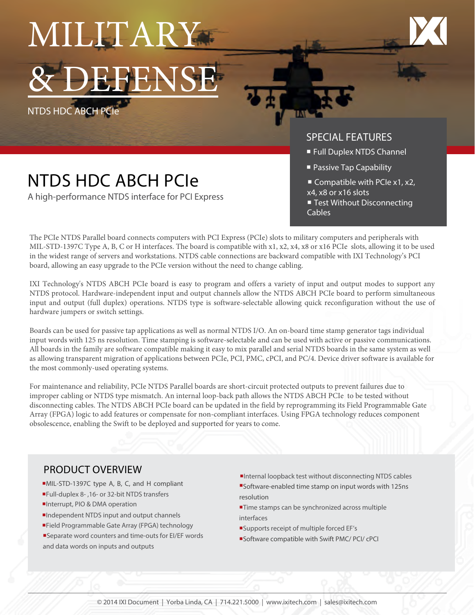MILITARY **BENSE** 

NTDS HDC ABCH PCIe

A high-performance NTDS interface for PCI Express



### SPECIAL FEATURES

- **Full Duplex NTDS Channel**
- **Passive Tap Capability**
- Compatible with PCIe x1, x2, x4, x8 or x16 slots
- Test Without Disconnecting Cables

The PCIe NTDS Parallel board connects computers with PCI Express (PCIe) slots to military computers and peripherals with MIL-STD-1397C Type A, B, C or H interfaces. The board is compatible with x1, x2, x4, x8 or x16 PCIe slots, allowing it to be used in the widest range of servers and workstations. NTDS cable connections are backward compatible with IXI Technology's PCI board, allowing an easy upgrade to the PCIe version without the need to change cabling.

IXI Technology's NTDS ABCH PCIe board is easy to program and offers a variety of input and output modes to support any NTDS protocol. Hardware-independent input and output channels allow the NTDS ABCH PCIe board to perform simultaneous input and output (full duplex) operations. NTDS type is software-selectable allowing quick reconfiguration without the use of hardware jumpers or switch settings.

Boards can be used for passive tap applications as well as normal NTDS I/O. An on-board time stamp generator tags individual input words with 125 ns resolution. Time stamping is software-selectable and can be used with active or passive communications. All boards in the family are software compatible making it easy to mix parallel and serial NTDS boards in the same system as well as allowing transparent migration of applications between PCIe, PCI, PMC, cPCI, and PC/4. Device driver software is available for the most commonly-used operating systems.

For maintenance and reliability, PCIe NTDS Parallel boards are short-circuit protected outputs to prevent failures due to improper cabling or NTDS type mismatch. An internal loop-back path allows the NTDS ABCH PCIe to be tested without disconnecting cables. The NTDS ABCH PCIe board can be updated in the field by reprogramming its Field Programmable Gate Array (FPGA) logic to add features or compensate for non-compliant interfaces. Using FPGA technology reduces component obsolescence, enabling the Swift to be deployed and supported for years to come.

#### PRODUCT OVERVIEW

- ■MIL-STD-1397C type A, B, C, and H compliant
- ¡Full-duplex 8- ,16- or 32-bit NTDS transfers
- **Interrupt, PIO & DMA operation**
- ¡Independent NTDS input and output channels
- ¡Field Programmable Gate Array (FPGA) technology
- ■Separate word counters and time-outs for EI/EF words and data words on inputs and outputs
- ¡Internal loopback test without disconnecting NTDS cables ¡Software-enabled time stamp on input words with 125ns resolution
- **Time stamps can be synchronized across multiple** interfaces
- ¡Supports receipt of multiple forced EF's
- ¡Software compatible with Swift PMC/ PCI/ cPCI